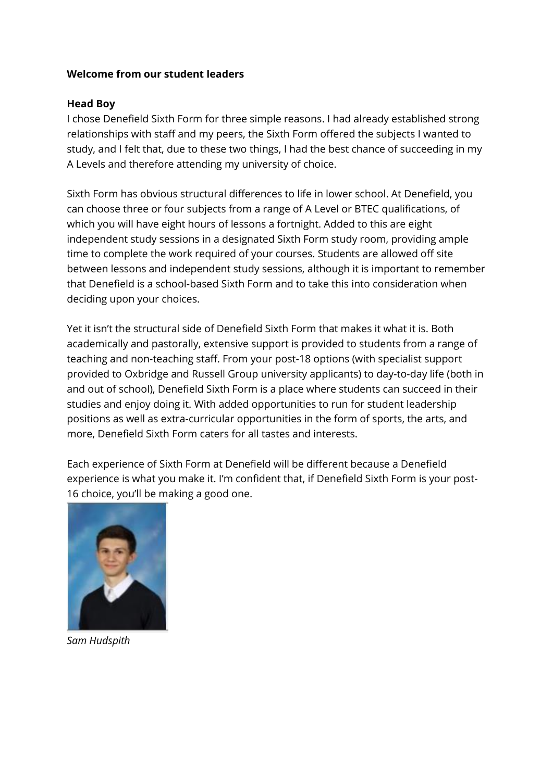## **Welcome from our student leaders**

## **Head Boy**

I chose Denefield Sixth Form for three simple reasons. I had already established strong relationships with staff and my peers, the Sixth Form offered the subjects I wanted to study, and I felt that, due to these two things, I had the best chance of succeeding in my A Levels and therefore attending my university of choice.

Sixth Form has obvious structural differences to life in lower school. At Denefield, you can choose three or four subjects from a range of A Level or BTEC qualifications, of which you will have eight hours of lessons a fortnight. Added to this are eight independent study sessions in a designated Sixth Form study room, providing ample time to complete the work required of your courses. Students are allowed off site between lessons and independent study sessions, although it is important to remember that Denefield is a school-based Sixth Form and to take this into consideration when deciding upon your choices.

Yet it isn't the structural side of Denefield Sixth Form that makes it what it is. Both academically and pastorally, extensive support is provided to students from a range of teaching and non-teaching staff. From your post-18 options (with specialist support provided to Oxbridge and Russell Group university applicants) to day-to-day life (both in and out of school), Denefield Sixth Form is a place where students can succeed in their studies and enjoy doing it. With added opportunities to run for student leadership positions as well as extra-curricular opportunities in the form of sports, the arts, and more, Denefield Sixth Form caters for all tastes and interests.

Each experience of Sixth Form at Denefield will be different because a Denefield experience is what you make it. I'm confident that, if Denefield Sixth Form is your post-16 choice, you'll be making a good one.



*Sam Hudspith*